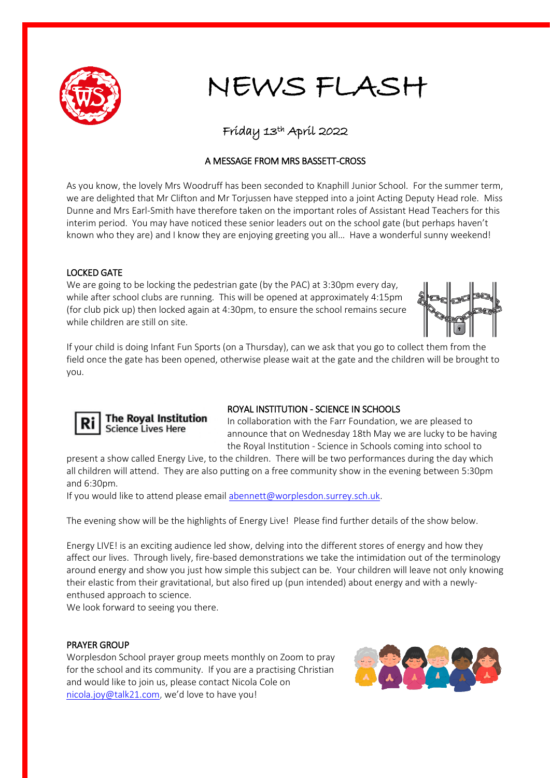

## NEWS FLASH

### Friday 13th April 2022

#### A MESSAGE FROM MRS BASSETT-CROSS

As you know, the lovely Mrs Woodruff has been seconded to Knaphill Junior School. For the summer term, we are delighted that Mr Clifton and Mr Torjussen have stepped into a joint Acting Deputy Head role. Miss Dunne and Mrs Earl-Smith have therefore taken on the important roles of Assistant Head Teachers for this interim period. You may have noticed these senior leaders out on the school gate (but perhaps haven't known who they are) and I know they are enjoying greeting you all… Have a wonderful sunny weekend!

#### LOCKED GATE

We are going to be locking the pedestrian gate (by the PAC) at 3:30pm every day, while after school clubs are running. This will be opened at approximately 4:15pm (for club pick up) then locked again at 4:30pm, to ensure the school remains secure while children are still on site.



If your child is doing Infant Fun Sports (on a Thursday), can we ask that you go to collect them from the field once the gate has been opened, otherwise please wait at the gate and the children will be brought to you.



#### **The Royal Institution Science Lives Here**

#### ROYAL INSTITUTION - SCIENCE IN SCHOOLS

In collaboration with the Farr Foundation, we are pleased to announce that on Wednesday 18th May we are lucky to be having the Royal Institution - Science in Schools coming into school to

present a show called Energy Live, to the children. There will be two performances during the day which all children will attend. They are also putting on a free community show in the evening between 5:30pm and 6:30pm.

If you would like to attend please email [abennett@worplesdon.surrey.sch.uk.](mailto:abennett@worplesdon.surrey.sch.uk)

The evening show will be the highlights of Energy Live! Please find further details of the show below.

Energy LIVE! is an exciting audience led show, delving into the different stores of energy and how they affect our lives. Through lively, fire-based demonstrations we take the intimidation out of the terminology around energy and show you just how simple this subject can be. Your children will leave not only knowing their elastic from their gravitational, but also fired up (pun intended) about energy and with a newlyenthused approach to science.

We look forward to seeing you there.

#### PRAYER GROUP

Worplesdon School prayer group meets monthly on Zoom to pray for the school and its community. If you are a practising Christian and would like to join us, please contact Nicola Cole on [nicola.joy@talk21.com,](mailto:nicola.joy@talk21.com) we'd love to have you!

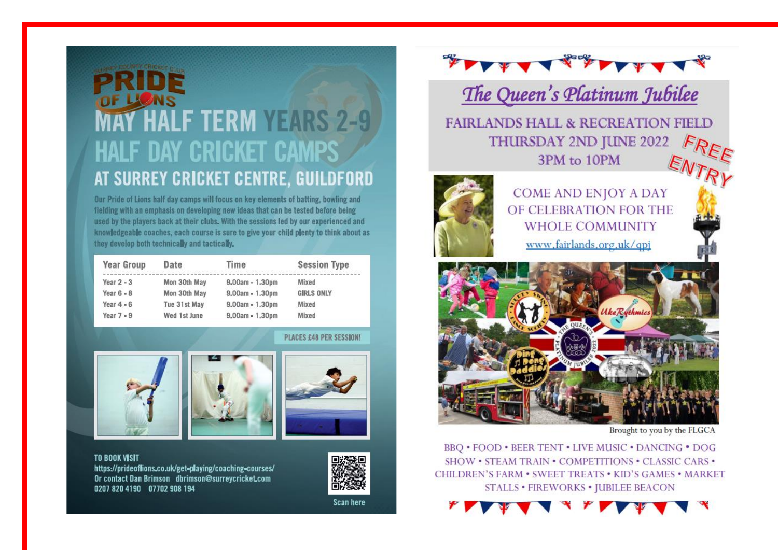# **F TERM YEARS 2-9 HALF DAY CRICKET CAMPS** AT SURREY CRICKET CENTRE, GUILDFORD

Our Pride of Lions half day camps will focus on key elements of batting, bowling and fielding with an emphasis on developing new ideas that can be tested before being used by the players back at their clubs. With the sessions led by our experienced and knowledgeable coaches, each course is sure to give your child plenty to think about as they develop both technically and tactically.

| <b>Year Group</b> | Date         | Time              | <b>Session Type</b> |
|-------------------|--------------|-------------------|---------------------|
| Year $2 - 3$      | Mon 30th May | $9,00am - 1,30pm$ | Mixed               |
| Year $6 - 8$      | Mon 30th May | $9.00am - 1.30pm$ | <b>GIRLS ONLY</b>   |
| Year $4 - 6$      | Tue 31st May | $9.00am - 1.30pm$ | Mixed               |
| Year $7 - 9$      | Wed 1st June | $9,00am - 1,30pm$ | Mixed               |

#### PLACES £48 PER SESSION!



**TO BOOK VISIT** https://prideoflions.co.uk/get-playing/coaching-courses/ Or contact Dan Brimson dbrimson@surreycricket.com 0207 820 4190 07702 908 194





Scan here



The Queen's Platinum Jubilee

**FAIRLANDS HALL & RECREATION FIELD THURSDAY 2ND JUNE 2022** 3PM to 10PM



COME AND ENJOY A DAY OF CELEBRATION FOR THE **WHOLE COMMUNITY** 

www.fairlands.org.uk/qpj



Brought to you by the FLGCA

BBQ . FOOD . BEER TENT . LIVE MUSIC . DANCING . DOG SHOW • STEAM TRAIN • COMPETITIONS • CLASSIC CARS • CHILDREN'S FARM . SWEET TREATS . KID'S GAMES . MARKET **STALLS • FIREWORKS • JUBILEE BEACON**